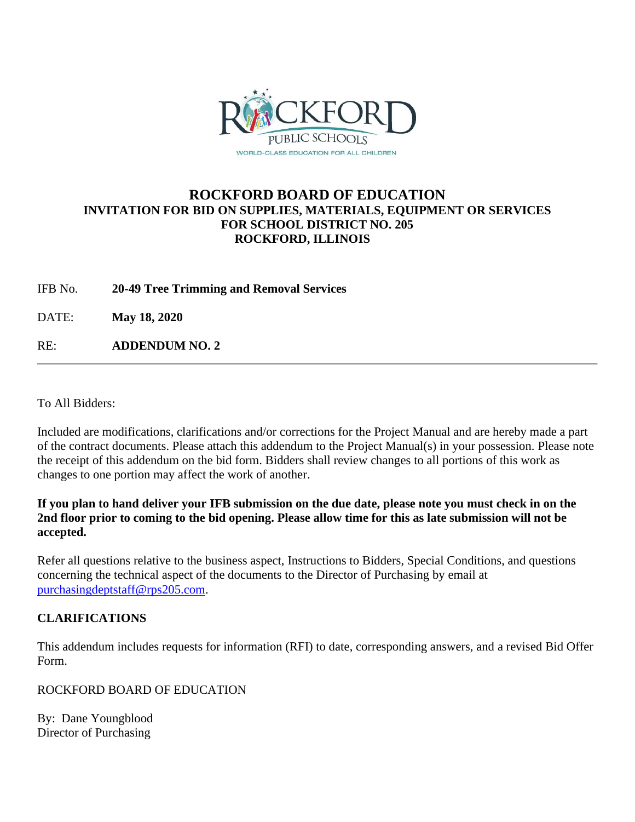

# **ROCKFORD BOARD OF EDUCATION INVITATION FOR BID ON SUPPLIES, MATERIALS, EQUIPMENT OR SERVICES FOR SCHOOL DISTRICT NO. 205 ROCKFORD, ILLINOIS**

IFB No. **20-49 Tree Trimming and Removal Services**

DATE: **May 18, 2020**

RE: **ADDENDUM NO. 2**

To All Bidders:

Included are modifications, clarifications and/or corrections for the Project Manual and are hereby made a part of the contract documents. Please attach this addendum to the Project Manual(s) in your possession. Please note the receipt of this addendum on the bid form. Bidders shall review changes to all portions of this work as changes to one portion may affect the work of another.

**If you plan to hand deliver your IFB submission on the due date, please note you must check in on the 2nd floor prior to coming to the bid opening. Please allow time for this as late submission will not be accepted.**

Refer all questions relative to the business aspect, Instructions to Bidders, Special Conditions, and questions concerning the technical aspect of the documents to the Director of Purchasing by email at [purchasingdeptstaff@rps205.com.](mailto:purchasingdeptstaff@rps205.com)

# **CLARIFICATIONS**

This addendum includes requests for information (RFI) to date, corresponding answers, and a revised Bid Offer Form.

ROCKFORD BOARD OF EDUCATION

By: Dane Youngblood Director of Purchasing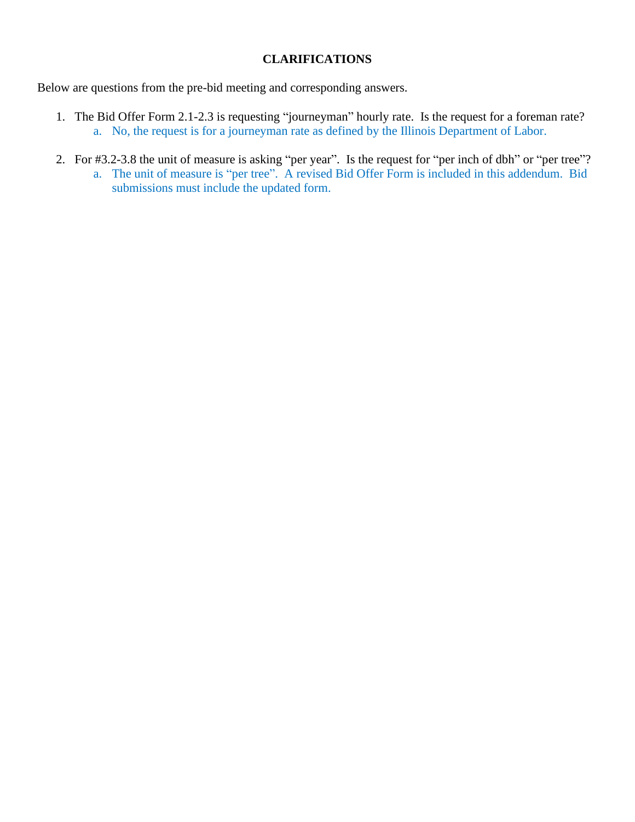## **CLARIFICATIONS**

Below are questions from the pre-bid meeting and corresponding answers.

- 1. The Bid Offer Form 2.1-2.3 is requesting "journeyman" hourly rate. Is the request for a foreman rate? a. No, the request is for a journeyman rate as defined by the Illinois Department of Labor.
- 2. For #3.2-3.8 the unit of measure is asking "per year". Is the request for "per inch of dbh" or "per tree"?
	- a. The unit of measure is "per tree". A revised Bid Offer Form is included in this addendum. Bid submissions must include the updated form.